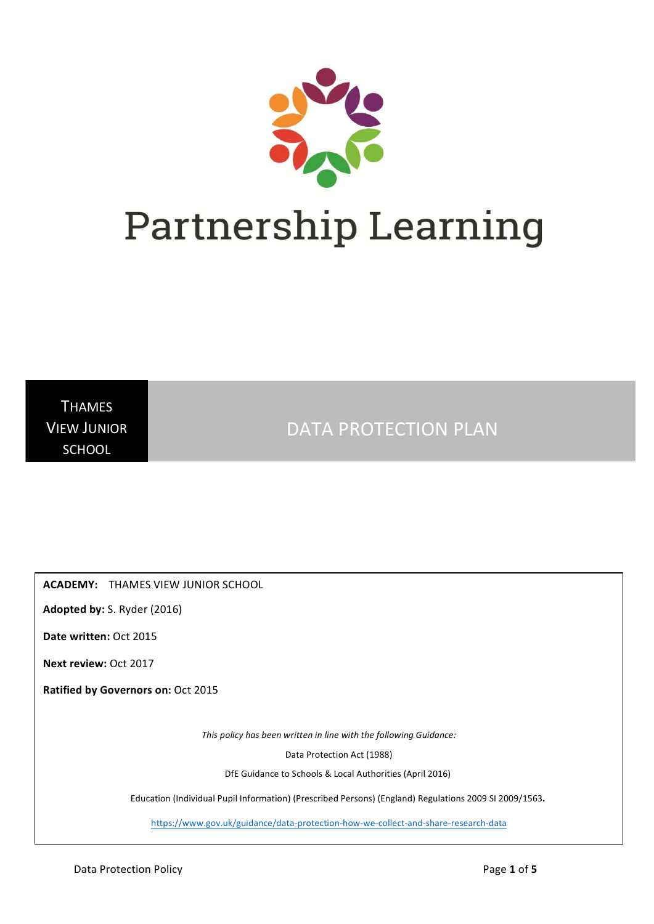

**THAMES VIEW JUNIOR SCHOOL** 

DATA PROTECTION PLAN

**ACADEMY:** THAMES VIEW JUNIOR SCHOOL

Adopted by: S. Ryder (2016)

**Date written: Oct 2015** 

**Next review: Oct 2017** 

**Ratified by Governors on:** Oct 2015

This policy has been written in line with the following Guidance:

Data Protection Act (1988)

DfE Guidance to Schools & Local Authorities (April 2016)

Education (Individual Pupil Information) (Prescribed Persons) (England) Regulations 2009 SI 2009/1563.

https://www.gov.uk/guidance/data-protection-how-we-collect-and-share-research-data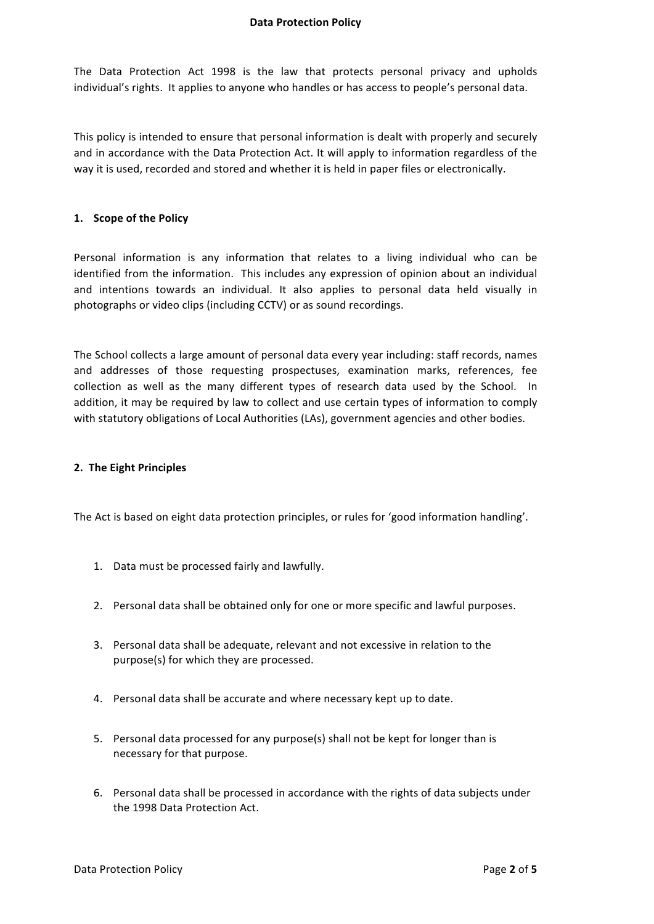### **Data Protection Policy**

The Data Protection Act 1998 is the law that protects personal privacy and upholds individual's rights. It applies to anyone who handles or has access to people's personal data.

This policy is intended to ensure that personal information is dealt with properly and securely and in accordance with the Data Protection Act. It will apply to information regardless of the way it is used, recorded and stored and whether it is held in paper files or electronically.

### **1. Scope of the Policy**

Personal information is any information that relates to a living individual who can be identified from the information. This includes any expression of opinion about an individual and intentions towards an individual. It also applies to personal data held visually in photographs or video clips (including CCTV) or as sound recordings.

The School collects a large amount of personal data every year including: staff records, names and addresses of those requesting prospectuses, examination marks, references, fee collection as well as the many different types of research data used by the School. In addition, it may be required by law to collect and use certain types of information to comply with statutory obligations of Local Authorities (LAs), government agencies and other bodies.

### **2. The Eight Principles**

The Act is based on eight data protection principles, or rules for 'good information handling'.

- 1. Data must be processed fairly and lawfully.
- 2. Personal data shall be obtained only for one or more specific and lawful purposes.
- 3. Personal data shall be adequate, relevant and not excessive in relation to the purpose(s) for which they are processed.
- 4. Personal data shall be accurate and where necessary kept up to date.
- 5. Personal data processed for any purpose(s) shall not be kept for longer than is necessary for that purpose.
- 6. Personal data shall be processed in accordance with the rights of data subjects under the 1998 Data Protection Act.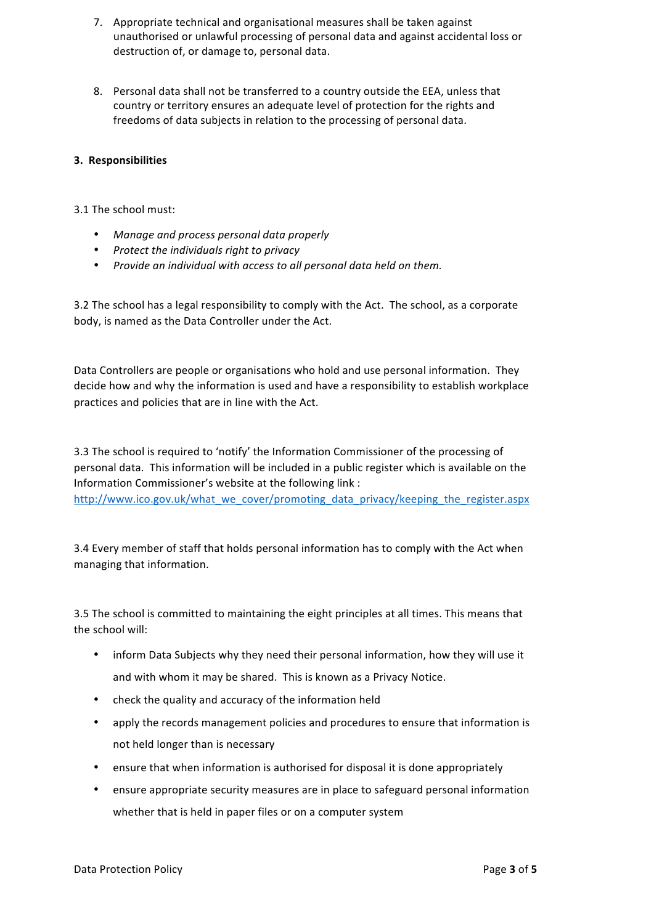- 7. Appropriate technical and organisational measures shall be taken against unauthorised or unlawful processing of personal data and against accidental loss or destruction of, or damage to, personal data.
- 8. Personal data shall not be transferred to a country outside the EEA, unless that country or territory ensures an adequate level of protection for the rights and freedoms of data subjects in relation to the processing of personal data.

# **3. Responsibilities**

## 3.1 The school must:

- *Manage and process personal data properly*
- Protect the individuals right to privacy
- Provide an individual with access to all personal data held on them.

3.2 The school has a legal responsibility to comply with the Act. The school, as a corporate body, is named as the Data Controller under the Act.

Data Controllers are people or organisations who hold and use personal information. They decide how and why the information is used and have a responsibility to establish workplace practices and policies that are in line with the Act.

3.3 The school is required to 'notify' the Information Commissioner of the processing of personal data. This information will be included in a public register which is available on the Information Commissioner's website at the following link : http://www.ico.gov.uk/what\_we\_cover/promoting\_data\_privacy/keeping\_the\_register.aspx

3.4 Every member of staff that holds personal information has to comply with the Act when managing that information.

3.5 The school is committed to maintaining the eight principles at all times. This means that the school will:

- inform Data Subjects why they need their personal information, how they will use it and with whom it may be shared. This is known as a Privacy Notice.
- check the quality and accuracy of the information held
- apply the records management policies and procedures to ensure that information is not held longer than is necessary
- ensure that when information is authorised for disposal it is done appropriately
- ensure appropriate security measures are in place to safeguard personal information whether that is held in paper files or on a computer system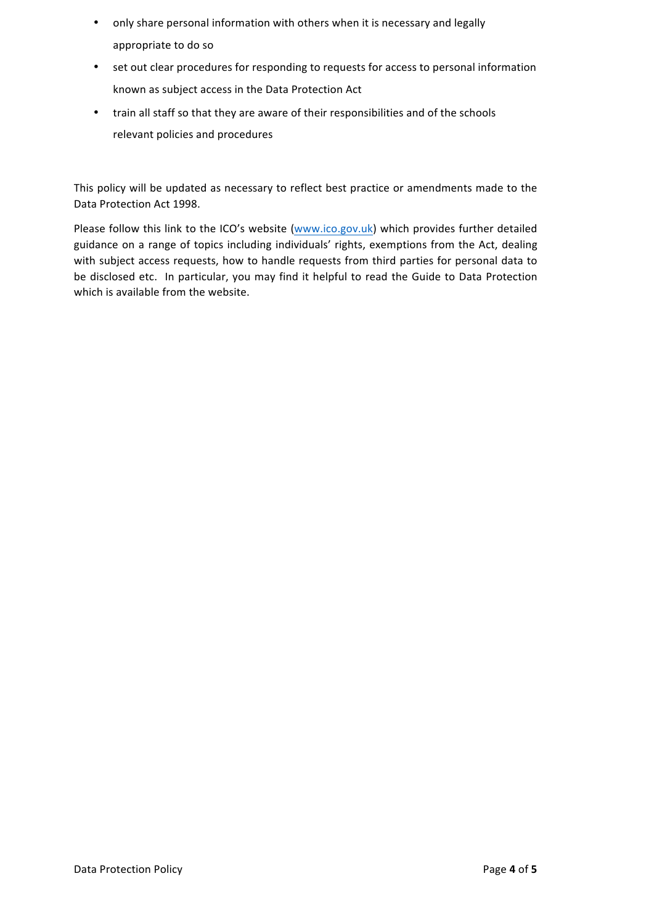- only share personal information with others when it is necessary and legally appropriate to do so
- set out clear procedures for responding to requests for access to personal information known as subject access in the Data Protection Act
- train all staff so that they are aware of their responsibilities and of the schools relevant policies and procedures

This policy will be updated as necessary to reflect best practice or amendments made to the Data Protection Act 1998.

Please follow this link to the ICO's website (www.ico.gov.uk) which provides further detailed guidance on a range of topics including individuals' rights, exemptions from the Act, dealing with subject access requests, how to handle requests from third parties for personal data to be disclosed etc. In particular, you may find it helpful to read the Guide to Data Protection which is available from the website.